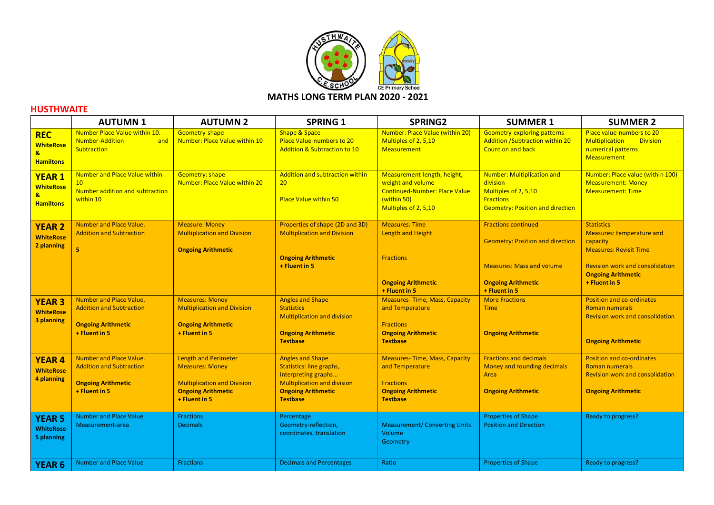

## **HUSTHWAITE**

|                                                                       | <b>AUTUMN1</b>                                                                                           | <b>AUTUMN 2</b>                                                                                                                           | <b>SPRING 1</b>                                                                                                                                                  | <b>SPRING2</b>                                                                                                                  | <b>SUMMER 1</b>                                                                                                                                         | <b>SUMMER 2</b>                                                                                                                                                                     |
|-----------------------------------------------------------------------|----------------------------------------------------------------------------------------------------------|-------------------------------------------------------------------------------------------------------------------------------------------|------------------------------------------------------------------------------------------------------------------------------------------------------------------|---------------------------------------------------------------------------------------------------------------------------------|---------------------------------------------------------------------------------------------------------------------------------------------------------|-------------------------------------------------------------------------------------------------------------------------------------------------------------------------------------|
| <b>REC</b><br><b>WhiteRose</b><br>$\mathbf{a}$<br><b>Hamiltons</b>    | Number Place Value within 10.<br><b>Number-Addition</b><br>and<br>Subtraction                            | Geometry-shape<br>Number: Place Value within 10                                                                                           | <b>Shape &amp; Space</b><br>Place Value-numbers to 20<br>Addition & Subtraction to 10                                                                            | Number: Place Value (within 20)<br>Multiples of 2, 5,10<br><b>Measurement</b>                                                   | <b>Geometry-exploring patterns</b><br><b>Addition /Subtraction within 20</b><br>Count on and back                                                       | Place value-numbers to 20<br><b>Division</b><br><b>Multiplication</b><br>numerical patterns<br><b>Measurement</b>                                                                   |
| <b>YEAR 1</b><br><b>WhiteRose</b><br>$\mathbf{a}$<br><b>Hamiltons</b> | <b>Number and Place Value within</b><br>10 <sup>°</sup><br>Number addition and subtraction<br>within 10  | <b>Geometry: shape</b><br>Number: Place Value within 20                                                                                   | Addition and subtraction within<br>20<br><b>Place Value within 50</b>                                                                                            | Measurement-length, height,<br>weight and volume<br><b>Continued-Number: Place Value</b><br>(within 50)<br>Multiples of 2, 5,10 | Number: Multiplication and<br>division<br>Multiples of 2, 5,10<br><b>Fractions</b><br><b>Geometry: Position and direction</b>                           | Number: Place value (within 100)<br><b>Measurement: Money</b><br><b>Measurement: Time</b>                                                                                           |
| <b>YEAR 2</b><br><b>WhiteRose</b><br>2 planning                       | <b>Number and Place Value.</b><br><b>Addition and Subtraction</b><br>5                                   | <b>Measure: Money</b><br><b>Multiplication and Division</b><br><b>Ongoing Arithmetic</b>                                                  | Properties of shape (2D and 3D)<br><b>Multiplication and Division</b><br><b>Ongoing Arithmetic</b><br>+ Fluent in 5                                              | <b>Measures: Time</b><br><b>Length and Height</b><br><b>Fractions</b><br><b>Ongoing Arithmetic</b><br>+ Fluent in 5             | <b>Fractions continued</b><br><b>Geometry: Position and direction</b><br><b>Measures: Mass and volume</b><br><b>Ongoing Arithmetic</b><br>+ Fluent in 5 | <b>Statistics</b><br>Measures: temperature and<br>capacity<br><b>Measures: Revisit Time</b><br><b>Revision work and consolidation</b><br><b>Ongoing Arithmetic</b><br>+ Fluent in 5 |
| <b>YEAR 3</b><br><b>WhiteRose</b><br>3 planning                       | Number and Place Value.<br><b>Addition and Subtraction</b><br><b>Ongoing Arithmetic</b><br>+ Fluent in 5 | <b>Measures: Money</b><br><b>Multiplication and Division</b><br><b>Ongoing Arithmetic</b><br>+ Fluent in 5                                | <b>Angles and Shape</b><br><b>Statistics</b><br><b>Multiplication and division</b><br><b>Ongoing Arithmetic</b><br><b>Testbase</b>                               | <b>Measures-Time, Mass, Capacity</b><br>and Temperature<br><b>Fractions</b><br><b>Ongoing Arithmetic</b><br><b>Testbase</b>     | <b>More Fractions</b><br><b>Time</b><br><b>Ongoing Arithmetic</b>                                                                                       | <b>Position and co-ordinates</b><br><b>Roman numerals</b><br><b>Revision work and consolidation</b><br><b>Ongoing Arithmetic</b>                                                    |
| <b>YEAR 4</b><br><b>WhiteRose</b><br>4 planning                       | Number and Place Value.<br><b>Addition and Subtraction</b><br><b>Ongoing Arithmetic</b><br>+ Fluent in 5 | <b>Length and Perimeter</b><br><b>Measures: Money</b><br><b>Multiplication and Division</b><br><b>Ongoing Arithmetic</b><br>+ Fluent in 5 | <b>Angles and Shape</b><br>Statistics: line graphs,<br>interpreting graphs<br><b>Multiplication and division</b><br><b>Ongoing Arithmetic</b><br><b>Testbase</b> | <b>Measures-Time, Mass, Capacity</b><br>and Temperature<br><b>Fractions</b><br><b>Ongoing Arithmetic</b><br><b>Testbase</b>     | <b>Fractions and decimals</b><br>Money and rounding decimals<br>Area<br><b>Ongoing Arithmetic</b>                                                       | <b>Position and co-ordinates</b><br><b>Roman numerals</b><br><b>Revision work and consolidation</b><br><b>Ongoing Arithmetic</b>                                                    |
| <b>YEAR 5</b><br><b>WhiteRose</b><br>5 planning                       | <b>Number and Place Value</b><br>Measurement-area                                                        | <b>Fractions</b><br><b>Decimals</b>                                                                                                       | Percentage<br>Geometry-reflection,<br>coordinates, translation                                                                                                   | <b>Measurement/Converting Units</b><br>Volume<br>Geometry                                                                       | <b>Properties of Shape</b><br><b>Position and Direction</b>                                                                                             | Ready to progress?                                                                                                                                                                  |
| <b>YEAR 6</b>                                                         | <b>Number and Place Value</b>                                                                            | <b>Fractions</b>                                                                                                                          | <b>Decimals and Percentages</b>                                                                                                                                  | Ratio                                                                                                                           | <b>Properties of Shape</b>                                                                                                                              | Ready to progress?                                                                                                                                                                  |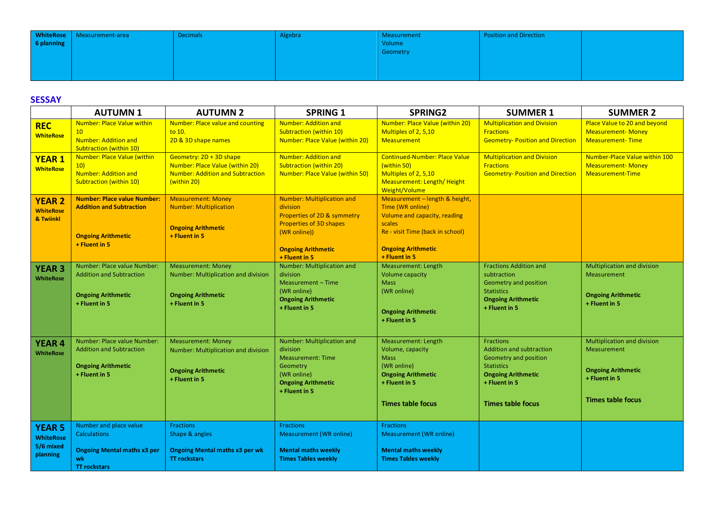| 6 planning | WhiteRose   Measurement-area | <b>Decimals</b> | Algebra | Measurement<br>Volume<br>Geometry | <b>Position and Direction</b> |  |
|------------|------------------------------|-----------------|---------|-----------------------------------|-------------------------------|--|
|            |                              |                 |         |                                   |                               |  |

## **SESSAY**

|                                                            | <b>AUTUMN1</b>                                                                                                        | <b>AUTUMN 2</b>                                                                                                      | <b>SPRING 1</b>                                                                                                                                                              | <b>SPRING2</b>                                                                                                                                                                 | <b>SUMMER 1</b>                                                                                                                                                      | <b>SUMMER 2</b>                                                                                                             |
|------------------------------------------------------------|-----------------------------------------------------------------------------------------------------------------------|----------------------------------------------------------------------------------------------------------------------|------------------------------------------------------------------------------------------------------------------------------------------------------------------------------|--------------------------------------------------------------------------------------------------------------------------------------------------------------------------------|----------------------------------------------------------------------------------------------------------------------------------------------------------------------|-----------------------------------------------------------------------------------------------------------------------------|
| <b>REC</b><br><b>WhiteRose</b>                             | <b>Number: Place Value within</b><br>10 <sup>1</sup><br><b>Number: Addition and</b><br><b>Subtraction (within 10)</b> | <b>Number: Place value and counting</b><br>to 10.<br>2D & 3D shape names                                             | <b>Number: Addition and</b><br><b>Subtraction (within 10)</b><br>Number: Place Value (within 20)                                                                             | Number: Place Value (within 20)<br>Multiples of 2, 5,10<br><b>Measurement</b>                                                                                                  | <b>Multiplication and Division</b><br><b>Fractions</b><br><b>Geometry- Position and Direction</b>                                                                    | Place Value to 20 and beyond<br><b>Measurement-Money</b><br><b>Measurement-Time</b>                                         |
| <b>YEAR 1</b><br><b>WhiteRose</b>                          | Number: Place Value (within<br>10)<br><b>Number: Addition and</b><br><b>Subtraction (within 10)</b>                   | Geometry: 2D + 3D shape<br>Number: Place Value (within 20)<br><b>Number: Addition and Subtraction</b><br>(within 20) | Number: Addition and<br><b>Subtraction (within 20)</b><br><b>Number: Place Value (within 50)</b>                                                                             | <b>Continued-Number: Place Value</b><br>(within 50)<br>Multiples of 2, 5,10<br>Measurement: Length/Height<br>Weight/Volume                                                     | <b>Multiplication and Division</b><br><b>Fractions</b><br><b>Geometry-Position and Direction</b>                                                                     | Number-Place Value within 100<br><b>Measurement-Money</b><br><b>Measurement-Time</b>                                        |
| <b>YEAR 2</b><br><b>WhiteRose</b><br>& Twiinkl             | <b>Number: Place value Number:</b><br><b>Addition and Subtraction</b><br><b>Ongoing Arithmetic</b><br>+ Fluent in 5   | <b>Measurement: Money</b><br><b>Number: Multiplication</b><br><b>Ongoing Arithmetic</b><br>+ Fluent in 5             | <b>Number: Multiplication and</b><br>division<br>Properties of 2D & symmetry<br><b>Properties of 3D shapes</b><br>(WR online))<br><b>Ongoing Arithmetic</b><br>+ Fluent in 5 | Measurement - length & height,<br>Time (WR online)<br>Volume and capacity, reading<br>scales<br>Re - visit Time (back in school)<br><b>Ongoing Arithmetic</b><br>+ Fluent in 5 |                                                                                                                                                                      |                                                                                                                             |
| <b>YEAR 3</b><br><b>WhiteRose</b>                          | Number: Place value Number:<br><b>Addition and Subtraction</b><br><b>Ongoing Arithmetic</b><br>+ Fluent in 5          | <b>Measurement: Money</b><br>Number: Multiplication and division<br><b>Ongoing Arithmetic</b><br>+ Fluent in 5       | Number: Multiplication and<br>division<br>Measurement - Time<br>(WR online)<br><b>Ongoing Arithmetic</b><br>+ Fluent in 5                                                    | Measurement: Length<br><b>Volume capacity</b><br><b>Mass</b><br>(WR online)<br><b>Ongoing Arithmetic</b><br>+ Fluent in 5                                                      | <b>Fractions Addition and</b><br>subtraction<br>Geometry and position<br><b>Statistics</b><br><b>Ongoing Arithmetic</b><br>+ Fluent in 5                             | <b>Multiplication and division</b><br>Measurement<br><b>Ongoing Arithmetic</b><br>+ Fluent in 5                             |
| <b>YEAR 4</b><br><b>WhiteRose</b>                          | Number: Place value Number:<br><b>Addition and Subtraction</b><br><b>Ongoing Arithmetic</b><br>+ Fluent in 5          | <b>Measurement: Money</b><br>Number: Multiplication and division<br><b>Ongoing Arithmetic</b><br>+ Fluent in 5       | Number: Multiplication and<br>division<br><b>Measurement: Time</b><br>Geometry<br>(WR online)<br><b>Ongoing Arithmetic</b><br>+ Fluent in 5                                  | Measurement: Length<br>Volume, capacity<br><b>Mass</b><br>(WR online)<br><b>Ongoing Arithmetic</b><br>+ Fluent in 5<br><b>Times table focus</b>                                | Fractions<br><b>Addition and subtraction</b><br>Geometry and position<br><b>Statistics</b><br><b>Ongoing Arithmetic</b><br>+ Fluent in 5<br><b>Times table focus</b> | <b>Multiplication and division</b><br>Measurement<br><b>Ongoing Arithmetic</b><br>+ Fluent in 5<br><b>Times table focus</b> |
| <b>YEAR 5</b><br><b>WhiteRose</b><br>5/6 mixed<br>planning | Number and place value<br><b>Calculations</b><br><b>Ongoing Mental maths x3 per</b><br>wk<br><b>TT rockstars</b>      | <b>Fractions</b><br>Shape & angles<br><b>Ongoing Mental maths x3 per wk</b><br><b>TT</b> rockstars                   | <b>Fractions</b><br><b>Measurement (WR online)</b><br><b>Mental maths weekly</b><br><b>Times Tables weekly</b>                                                               | <b>Fractions</b><br>Measurement (WR online)<br><b>Mental maths weekly</b><br><b>Times Tables weekly</b>                                                                        |                                                                                                                                                                      |                                                                                                                             |